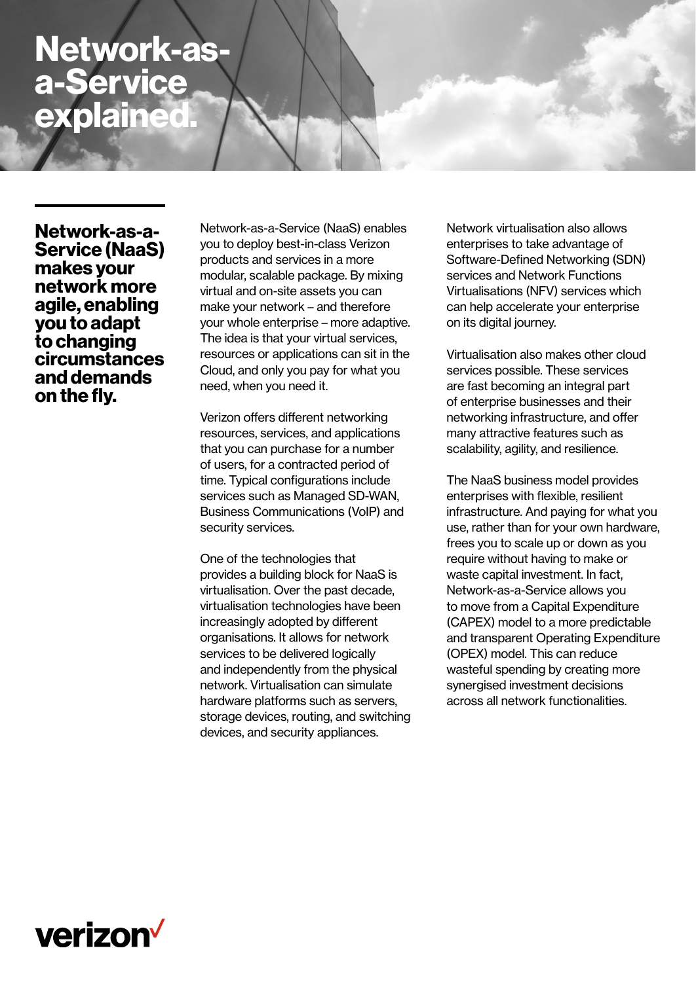# **Network-asa-Service explained.**

**Network-as-a-Service (NaaS) makes your network more agile, enabling you to adapt to changing circumstances and demands on the fly.** 

Network-as-a-Service (NaaS) enables you to deploy best-in-class Verizon products and services in a more modular, scalable package. By mixing virtual and on-site assets you can make your network – and therefore your whole enterprise – more adaptive. The idea is that your virtual services, resources or applications can sit in the Cloud, and only you pay for what you need, when you need it.

Verizon offers different networking resources, services, and applications that you can purchase for a number of users, for a contracted period of time. Typical configurations include services such as Managed SD-WAN, Business Communications (VoIP) and security services.

One of the technologies that provides a building block for NaaS is virtualisation. Over the past decade, virtualisation technologies have been increasingly adopted by different organisations. It allows for network services to be delivered logically and independently from the physical network. Virtualisation can simulate hardware platforms such as servers, storage devices, routing, and switching devices, and security appliances.

Network virtualisation also allows enterprises to take advantage of Software-Defined Networking (SDN) services and Network Functions Virtualisations (NFV) services which can help accelerate your enterprise on its digital journey.

Virtualisation also makes other cloud services possible. These services are fast becoming an integral part of enterprise businesses and their networking infrastructure, and offer many attractive features such as scalability, agility, and resilience.

The NaaS business model provides enterprises with flexible, resilient infrastructure. And paying for what you use, rather than for your own hardware, frees you to scale up or down as you require without having to make or waste capital investment. In fact, Network-as-a-Service allows you to move from a Capital Expenditure (CAPEX) model to a more predictable and transparent Operating Expenditure (OPEX) model. This can reduce wasteful spending by creating more synergised investment decisions across all network functionalities.